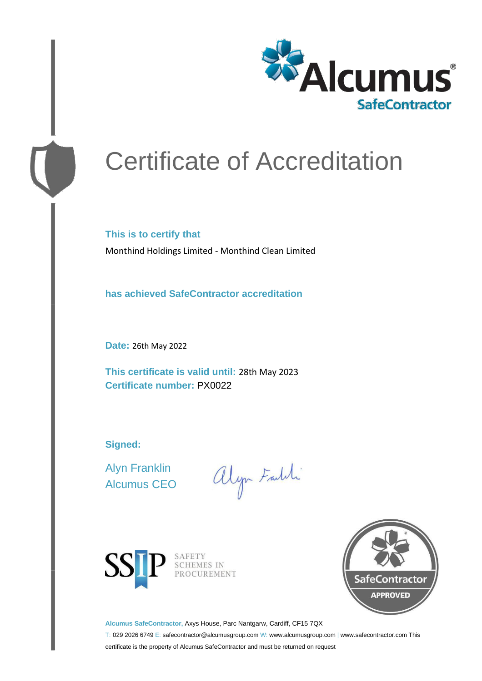

# Certificate of Accreditation

**This is to certify that** Monthind Holdings Limited - Monthind Clean Limited

**has achieved SafeContractor accreditation**

**Date:** 26th May 2022

**This certificate is valid until:** 28th May 2023 **Certificate number:** PX0022

**Signed:**

Alyn Franklin Alcumus CEO

alyn Faldi





**Alcumus SafeContractor,** Axys House, Parc Nantgarw, Cardiff, CF15 7QX

T: 029 2026 6749 E: safecontractor@alcumusgroup.com W: www.alcumusgroup.com | www.safecontractor.com This

certificate is the property of Alcumus SafeContractor and must be returned on request